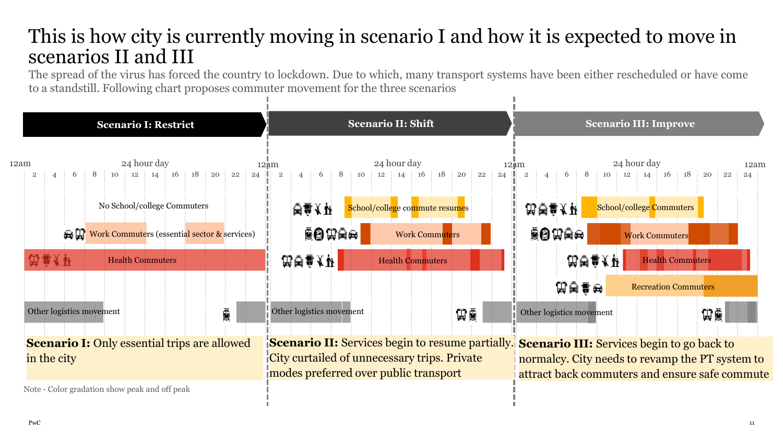## This is how city is currently moving in scenario I and how it is expected to move in scenarios II and III

The spread of the virus has forced the country to lockdown. Due to which, many transport systems have been either rescheduled or have come to a standstill. Following chart proposes commuter movement for the three scenarios

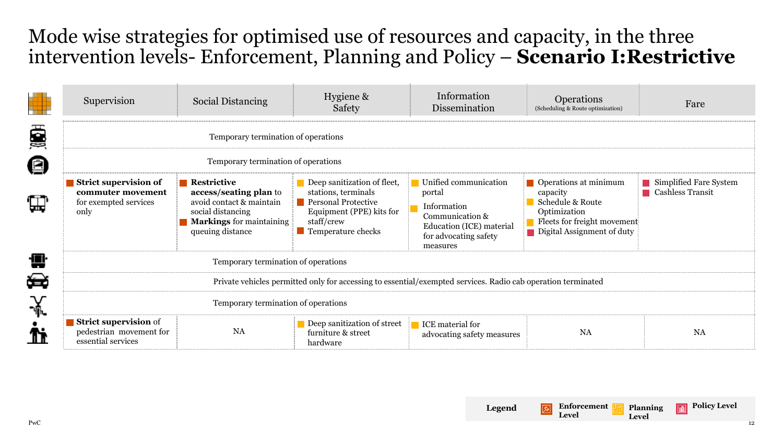## Mode wise strategies for optimised use of resources and capacity, in the three intervention levels- Enforcement, Planning and Policy – **Scenario I:Restrictive**

|            | Supervision                                                                                                  | <b>Social Distancing</b>                                                                                                                                     | Hygiene &<br>Safety                                                                                                                                     | Information<br>Dissemination                                                                                                       | <b>Operations</b><br>(Scheduling & Route optimization)                                                                             | Fare                                              |  |
|------------|--------------------------------------------------------------------------------------------------------------|--------------------------------------------------------------------------------------------------------------------------------------------------------------|---------------------------------------------------------------------------------------------------------------------------------------------------------|------------------------------------------------------------------------------------------------------------------------------------|------------------------------------------------------------------------------------------------------------------------------------|---------------------------------------------------|--|
| ē          | Temporary termination of operations                                                                          |                                                                                                                                                              |                                                                                                                                                         |                                                                                                                                    |                                                                                                                                    |                                                   |  |
| jn         | Temporary termination of operations                                                                          |                                                                                                                                                              |                                                                                                                                                         |                                                                                                                                    |                                                                                                                                    |                                                   |  |
| $\boxplus$ | Strict supervision of<br>commuter movement<br>for exempted services<br>only                                  | $\blacksquare$ Restrictive<br>access/seating plan to<br>avoid contact & maintain<br>social distancing<br><b>Markings</b> for maintaining<br>queuing distance | Deep sanitization of fleet,<br>stations, terminals<br><b>Personal Protective</b><br>Equipment (PPE) kits for<br>staff/crew<br><b>Temperature checks</b> | Unified communication<br>portal<br>Information<br>Communication &<br>Education (ICE) material<br>for advocating safety<br>measures | Operations at minimum<br>capacity<br>Schedule & Route<br>Optimization<br>Fleets for freight movement<br>Digital Assignment of duty | Simplified Fare System<br><b>Cashless Transit</b> |  |
|            | Temporary termination of operations                                                                          |                                                                                                                                                              |                                                                                                                                                         |                                                                                                                                    |                                                                                                                                    |                                                   |  |
| É.         | Private vehicles permitted only for accessing to essential/exempted services. Radio cab operation terminated |                                                                                                                                                              |                                                                                                                                                         |                                                                                                                                    |                                                                                                                                    |                                                   |  |
| ¥.         | Temporary termination of operations                                                                          |                                                                                                                                                              |                                                                                                                                                         |                                                                                                                                    |                                                                                                                                    |                                                   |  |
| ħ          | Strict supervision of<br>pedestrian movement for<br>essential services                                       | <b>NA</b>                                                                                                                                                    | Deep sanitization of street<br>furniture & street<br>hardware                                                                                           | <b>ICE</b> material for<br>advocating safety measures                                                                              | <b>NA</b>                                                                                                                          | <b>NA</b>                                         |  |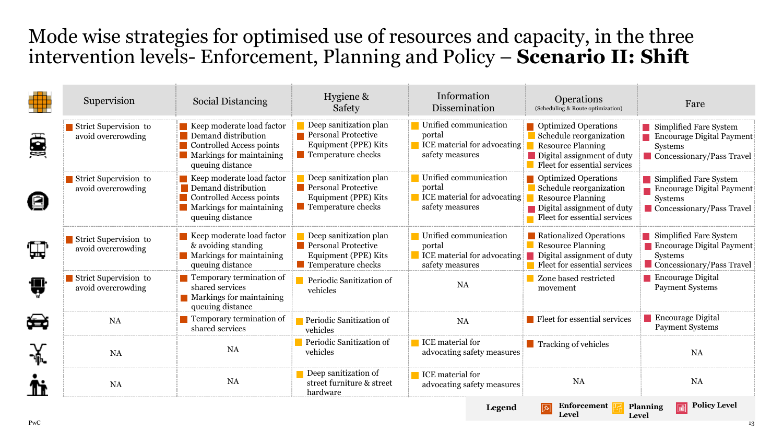## Mode wise strategies for optimised use of resources and capacity, in the three intervention levels- Enforcement, Planning and Policy – **Scenario II: Shift**

|    | Supervision                                 | <b>Social Distancing</b>                                                                                                     | Hygiene &<br>Safety                                                                                               | Information<br>Dissemination                                                             | <b>Operations</b><br>(Scheduling & Route optimization)                                                                                             | Fare                                                                                                      |
|----|---------------------------------------------|------------------------------------------------------------------------------------------------------------------------------|-------------------------------------------------------------------------------------------------------------------|------------------------------------------------------------------------------------------|----------------------------------------------------------------------------------------------------------------------------------------------------|-----------------------------------------------------------------------------------------------------------|
| ë  | Strict Supervision to<br>avoid overcrowding | Keep moderate load factor<br>Demand distribution<br>Controlled Access points<br>Markings for maintaining<br>queuing distance | Deep sanitization plan<br><b>Personal Protective</b><br>Equipment (PPE) Kits<br><b>Temperature checks</b>         | Unified communication<br>portal<br><b>ICE</b> material for advocating<br>safety measures | <b>Depending Operations</b><br>Schedule reorganization<br><b>Resource Planning</b><br>Digital assignment of duty<br>Fleet for essential services   | Simplified Fare System<br>Encourage Digital Payment<br>Systems<br>Concessionary/Pass Travel               |
|    | Strict Supervision to<br>avoid overcrowding | Keep moderate load factor<br>Demand distribution<br>Controlled Access points<br>Markings for maintaining<br>queuing distance | Deep sanitization plan<br>Personal Protective<br>Equipment (PPE) Kits<br>Temperature checks                       | Unified communication<br>portal<br>ICE material for advocating<br>safety measures        | <b>D</b> Optimized Operations<br>Schedule reorganization<br><b>Resource Planning</b><br>Digital assignment of duty<br>Fleet for essential services | Simplified Fare System<br>Encourage Digital Payment<br>Systems<br>Concessionary/Pass Travel               |
| Щ  | Strict Supervision to<br>avoid overcrowding | Keep moderate load factor<br>& avoiding standing<br>Markings for maintaining<br>queuing distance                             | Deep sanitization plan<br><b>Personal Protective</b><br>Equipment (PPE) Kits<br>$\blacksquare$ Temperature checks | Unified communication<br>portal<br><b>ICE</b> material for advocating<br>safety measures | Rationalized Operations<br><b>Resource Planning</b><br>Digital assignment of duty<br>Fleet for essential services                                  | Simplified Fare System<br><b>Encourage Digital Payment</b><br><b>Systems</b><br>Concessionary/Pass Travel |
| ₩  | Strict Supervision to<br>avoid overcrowding | <b>T</b> Temporary termination of<br>shared services<br>$\blacksquare$ Markings for maintaining<br>queuing distance          | Periodic Sanitization of<br>vehicles                                                                              | <b>NA</b>                                                                                | Zone based restricted<br>movement                                                                                                                  | Encourage Digital<br><b>Payment Systems</b>                                                               |
| Ħ  | <b>NA</b>                                   | Temporary termination of<br>shared services                                                                                  | Periodic Sanitization of<br>vehicles                                                                              | <b>NA</b>                                                                                | <b>Fleet for essential services</b>                                                                                                                | <b>Encourage Digital</b><br><b>Payment Systems</b>                                                        |
| ¥. | <b>NA</b>                                   | <b>NA</b>                                                                                                                    | Periodic Sanitization of<br>vehicles                                                                              | ICE material for<br>advocating safety measures                                           | <b>Tracking of vehicles</b>                                                                                                                        | <b>NA</b>                                                                                                 |
|    | <b>NA</b>                                   | <b>NA</b>                                                                                                                    | Deep sanitization of<br>street furniture & street<br>hardware                                                     | ICE material for<br>advocating safety measures                                           | <b>NA</b>                                                                                                                                          | <b>NA</b>                                                                                                 |

**Level**